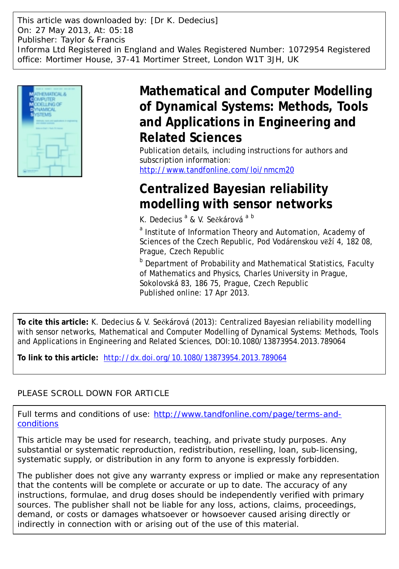This article was downloaded by: [Dr K. Dedecius] On: 27 May 2013, At: 05:18 Publisher: Taylor & Francis Informa Ltd Registered in England and Wales Registered Number: 1072954 Registered office: Mortimer House, 37-41 Mortimer Street, London W1T 3JH, UK



## **Mathematical and Computer Modelling of Dynamical Systems: Methods, Tools and Applications in Engineering and Related Sciences**

Publication details, including instructions for authors and subscription information: <http://www.tandfonline.com/loi/nmcm20>

# **Centralized Bayesian reliability modelling with sensor networks**

K. Dedecius<sup>a</sup> & V. Sečkárová<sup>a b</sup>

<sup>a</sup> Institute of Information Theory and Automation, Academy of Sciences of the Czech Republic, Pod Vodárenskou věží 4, 182 08, Prague, Czech Republic

**b** Department of Probability and Mathematical Statistics, Faculty of Mathematics and Physics, Charles University in Prague, Sokolovská 83, 186 75, Prague, Czech Republic Published online: 17 Apr 2013.

**To cite this article:** K. Dedecius & V. Sečkárová (2013): Centralized Bayesian reliability modelling with sensor networks, Mathematical and Computer Modelling of Dynamical Systems: Methods, Tools and Applications in Engineering and Related Sciences, DOI:10.1080/13873954.2013.789064

**To link to this article:** <http://dx.doi.org/10.1080/13873954.2013.789064>

## PLEASE SCROLL DOWN FOR ARTICLE

Full terms and conditions of use: [http://www.tandfonline.com/page/terms-and](http://www.tandfonline.com/page/terms-and-conditions)[conditions](http://www.tandfonline.com/page/terms-and-conditions)

This article may be used for research, teaching, and private study purposes. Any substantial or systematic reproduction, redistribution, reselling, loan, sub-licensing, systematic supply, or distribution in any form to anyone is expressly forbidden.

The publisher does not give any warranty express or implied or make any representation that the contents will be complete or accurate or up to date. The accuracy of any instructions, formulae, and drug doses should be independently verified with primary sources. The publisher shall not be liable for any loss, actions, claims, proceedings, demand, or costs or damages whatsoever or howsoever caused arising directly or indirectly in connection with or arising out of the use of this material.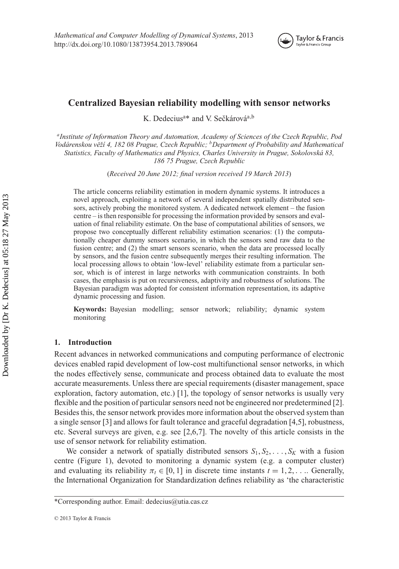

## **Centralized Bayesian reliability modelling with sensor networks**

K. Dedecius<sup>a\*</sup> and V. Sečkárová<sup>a,b</sup>

*aInstitute of Information Theory and Automation, Academy of Sciences of the Czech Republic, Pod Vodárenskou vˇeží 4, 182 08 Prague, Czech Republic; bDepartment of Probability and Mathematical Statistics, Faculty of Mathematics and Physics, Charles University in Prague, Sokolovská 83, 186 75 Prague, Czech Republic*

(*Received 20 June 2012; final version received 19 March 2013*)

The article concerns reliability estimation in modern dynamic systems. It introduces a novel approach, exploiting a network of several independent spatially distributed sensors, actively probing the monitored system. A dedicated network element – the fusion centre – is then responsible for processing the information provided by sensors and evaluation of final reliability estimate. On the base of computational abilities of sensors, we propose two conceptually different reliability estimation scenarios: (1) the computationally cheaper dummy sensors scenario, in which the sensors send raw data to the fusion centre; and (2) the smart sensors scenario, when the data are processed locally by sensors, and the fusion centre subsequently merges their resulting information. The local processing allows to obtain 'low-level' reliability estimate from a particular sensor, which is of interest in large networks with communication constraints. In both cases, the emphasis is put on recursiveness, adaptivity and robustness of solutions. The Bayesian paradigm was adopted for consistent information representation, its adaptive dynamic processing and fusion.

**Keywords:** Bayesian modelling; sensor network; reliability; dynamic system monitoring

## **1. Introduction**

Recent advances in networked communications and computing performance of electronic devices enabled rapid development of low-cost multifunctional sensor networks, in which the nodes effectively sense, communicate and process obtained data to evaluate the most accurate measurements. Unless there are special requirements (disaster management, space exploration, factory automation, etc.) [1], the topology of sensor networks is usually very flexible and the position of particular sensors need not be engineered nor predetermined [2]. Besides this, the sensor network provides more information about the observed system than a single sensor [3] and allows for fault tolerance and graceful degradation [4,5], robustness, etc. Several surveys are given, e.g. see [2,6,7]. The novelty of this article consists in the use of sensor network for reliability estimation.

We consider a network of spatially distributed sensors  $S_1, S_2, \ldots, S_K$  with a fusion centre (Figure 1), devoted to monitoring a dynamic system (e.g. a computer cluster) and evaluating its reliability  $\pi_t \in [0, 1]$  in discrete time instants  $t = 1, 2, \dots$ . Generally, the International Organization for Standardization defines reliability as 'the characteristic

<sup>\*</sup>Corresponding author. Email: [dedecius@utia.cas.cz](mailto:dedecius@utia.cas.cz)

<sup>© 2013</sup> Taylor & Francis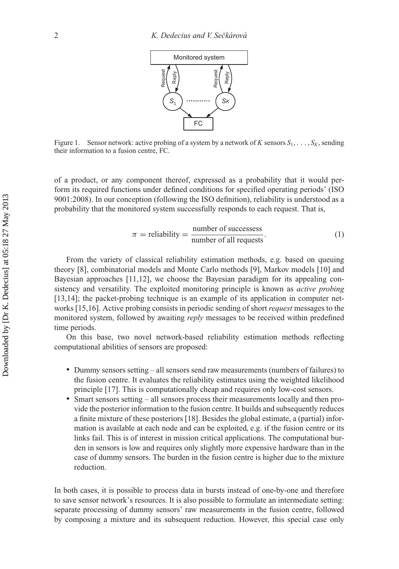

Figure 1. Sensor network: active probing of a system by a network of *K* sensors  $S_1, \ldots, S_K$ , sending their information to a fusion centre, FC.

of a product, or any component thereof, expressed as a probability that it would perform its required functions under defined conditions for specified operating periods' (ISO 9001:2008). In our conception (following the ISO definition), reliability is understood as a probability that the monitored system successfully responds to each request. That is,

$$
\pi = \text{reliability} = \frac{\text{number of successes}}{\text{number of all requests}}.
$$
 (1)

From the variety of classical reliability estimation methods, e.g. based on queuing theory [8], combinatorial models and Monte Carlo methods [9], Markov models [10] and Bayesian approaches [11,12], we choose the Bayesian paradigm for its appealing consistency and versatility. The exploited monitoring principle is known as *active probing* [13,14]; the packet-probing technique is an example of its application in computer networks [15,16]. Active probing consists in periodic sending of short *request* messages to the monitored system, followed by awaiting *reply* messages to be received within predefined time periods.

On this base, two novel network-based reliability estimation methods reflecting computational abilities of sensors are proposed:

- Dummy sensors setting all sensors send raw measurements (numbers of failures) to the fusion centre. It evaluates the reliability estimates using the weighted likelihood principle [17]. This is computationally cheap and requires only low-cost sensors.
- Smart sensors setting all sensors process their measurements locally and then provide the posterior information to the fusion centre. It builds and subsequently reduces a finite mixture of these posteriors [18]. Besides the global estimate, a (partial) information is available at each node and can be exploited, e.g. if the fusion centre or its links fail. This is of interest in mission critical applications. The computational burden in sensors is low and requires only slightly more expensive hardware than in the case of dummy sensors. The burden in the fusion centre is higher due to the mixture reduction.

In both cases, it is possible to process data in bursts instead of one-by-one and therefore to save sensor network's resources. It is also possible to formulate an intermediate setting: separate processing of dummy sensors' raw measurements in the fusion centre, followed by composing a mixture and its subsequent reduction. However, this special case only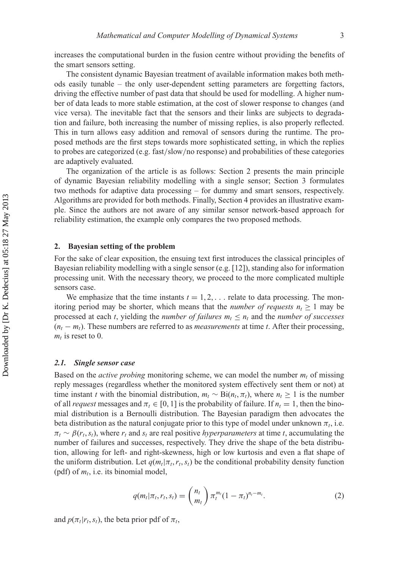increases the computational burden in the fusion centre without providing the benefits of the smart sensors setting.

The consistent dynamic Bayesian treatment of available information makes both methods easily tunable – the only user-dependent setting parameters are forgetting factors, driving the effective number of past data that should be used for modelling. A higher number of data leads to more stable estimation, at the cost of slower response to changes (and vice versa). The inevitable fact that the sensors and their links are subjects to degradation and failure, both increasing the number of missing replies, is also properly reflected. This in turn allows easy addition and removal of sensors during the runtime. The proposed methods are the first steps towards more sophisticated setting, in which the replies to probes are categorized (e.g. fast/slow/no response) and probabilities of these categories are adaptively evaluated.

The organization of the article is as follows: Section 2 presents the main principle of dynamic Bayesian reliability modelling with a single sensor; Section 3 formulates two methods for adaptive data processing – for dummy and smart sensors, respectively. Algorithms are provided for both methods. Finally, Section 4 provides an illustrative example. Since the authors are not aware of any similar sensor network-based approach for reliability estimation, the example only compares the two proposed methods.

### **2. Bayesian setting of the problem**

For the sake of clear exposition, the ensuing text first introduces the classical principles of Bayesian reliability modelling with a single sensor  $(e.g. [12])$ , standing also for information processing unit. With the necessary theory, we proceed to the more complicated multiple sensors case.

We emphasize that the time instants  $t = 1, 2, \ldots$  relate to data processing. The monitoring period may be shorter, which means that the *number of requests*  $n_t \geq 1$  may be processed at each *t*, yielding the *number of failures*  $m_t \leq n_t$  and the *number of successes*  $(n_t - m_t)$ . These numbers are referred to as *measurements* at time *t*. After their processing,  $m_t$  is reset to 0.

#### *2.1. Single sensor case*

Based on the *active probing* monitoring scheme, we can model the number  $m_t$  of missing reply messages (regardless whether the monitored system effectively sent them or not) at time instant *t* with the binomial distribution,  $m_t \sim Bi(n_t, \pi_t)$ , where  $n_t \geq 1$  is the number of all *request* messages and  $\pi_t \in [0, 1]$  is the probability of failure. If  $n_t = 1$ , then the binomial distribution is a Bernoulli distribution. The Bayesian paradigm then advocates the beta distribution as the natural conjugate prior to this type of model under unknown  $\pi_t$ , i.e.  $\pi_t \sim \beta(r_t, s_t)$ , where  $r_t$  and  $s_t$  are real positive *hyperparameters* at time *t*, accumulating the number of failures and successes, respectively. They drive the shape of the beta distribution, allowing for left- and right-skewness, high or low kurtosis and even a flat shape of the uniform distribution. Let  $q(m_t|\pi_t, r_t, s_t)$  be the conditional probability density function (pdf) of  $m_t$ , i.e. its binomial model,

$$
q(m_t|\pi_t, r_t, s_t) = {n_t \choose m_t} \pi_t^{m_t} (1 - \pi_t)^{n_t - m_t}.
$$
 (2)

and  $p(\pi_t | r_t, s_t)$ , the beta prior pdf of  $\pi_t$ ,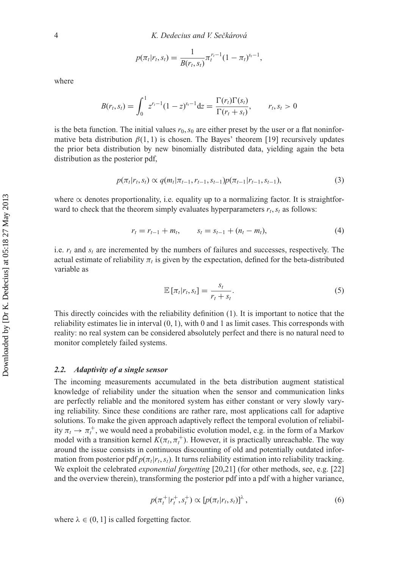$$
p(\pi_t|r_t, s_t) = \frac{1}{B(r_t, s_t)} \pi_t^{r_t - 1} (1 - \pi_t)^{s_t - 1},
$$

where

$$
B(r_t, s_t) = \int_0^1 z^{r_t - 1} (1 - z)^{s_t - 1} dz = \frac{\Gamma(r_t) \Gamma(s_t)}{\Gamma(r_t + s_t)}, \qquad r_t, s_t > 0
$$

is the beta function. The initial values  $r_0$ ,  $s_0$  are either preset by the user or a flat noninformative beta distribution  $\beta(1, 1)$  is chosen. The Bayes' theorem [19] recursively updates the prior beta distribution by new binomially distributed data, yielding again the beta distribution as the posterior pdf,

$$
p(\pi_t|r_t, s_t) \propto q(m_t|\pi_{t-1}, r_{t-1}, s_{t-1})p(\pi_{t-1}|r_{t-1}, s_{t-1}),
$$
\n(3)

where  $\alpha$  denotes proportionality, i.e. equality up to a normalizing factor. It is straightforward to check that the theorem simply evaluates hyperparameters  $r_t$ ,  $s_t$  as follows:

$$
r_t = r_{t-1} + m_t, \qquad s_t = s_{t-1} + (n_t - m_t), \tag{4}
$$

i.e.  $r_t$  and  $s_t$  are incremented by the numbers of failures and successes, respectively. The actual estimate of reliability  $\pi_t$  is given by the expectation, defined for the beta-distributed variable as

$$
\mathbb{E}\left[\pi_t|r_t,s_t\right] = \frac{s_t}{r_t+s_t}.\tag{5}
$$

This directly coincides with the reliability definition (1). It is important to notice that the reliability estimates lie in interval (0, 1), with 0 and 1 as limit cases. This corresponds with reality: no real system can be considered absolutely perfect and there is no natural need to monitor completely failed systems.

#### *2.2. Adaptivity of a single sensor*

The incoming measurements accumulated in the beta distribution augment statistical knowledge of reliability under the situation when the sensor and communication links are perfectly reliable and the monitored system has either constant or very slowly varying reliability. Since these conditions are rather rare, most applications call for adaptive solutions. To make the given approach adaptively reflect the temporal evolution of reliability  $\pi_t \to \pi_t^+$ , we would need a probabilistic evolution model, e.g. in the form of a Markov model with a transition kernel  $K(\pi_t, \pi_t^+)$ . However, it is practically unreachable. The way around the issue consists in continuous discounting of old and potentially outdated information from posterior pdf  $p(\pi_t|r_t,s_t)$ . It turns reliability estimation into reliability tracking. We exploit the celebrated *exponential forgetting* [20,21] (for other methods, see, e.g. [22] and the overview therein), transforming the posterior pdf into a pdf with a higher variance,

$$
p(\pi_t^+ | r_t^+, s_t^+) \propto [p(\pi_t | r_t, s_t)]^{\lambda}, \qquad (6)
$$

where  $\lambda \in (0, 1]$  is called forgetting factor.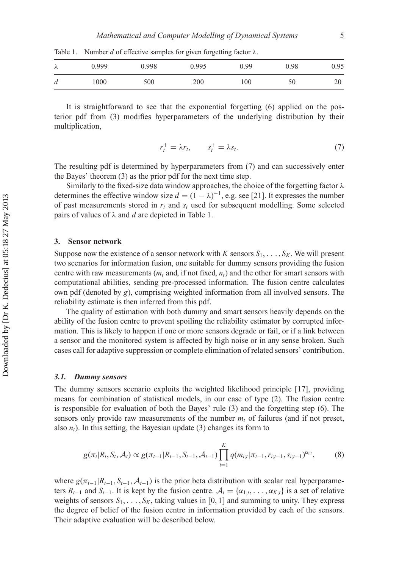λ 0.999 0.998 0.995 0.99 0.98 0.95 *d* 1000 500 200 100 50 20

Table 1. Number *d* of effective samples for given forgetting factor  $\lambda$ .

It is straightforward to see that the exponential forgetting (6) applied on the posterior pdf from (3) modifies hyperparameters of the underlying distribution by their multiplication,

$$
r_t^+ = \lambda r_t, \qquad s_t^+ = \lambda s_t. \tag{7}
$$

The resulting pdf is determined by hyperparameters from (7) and can successively enter the Bayes' theorem (3) as the prior pdf for the next time step.

Similarly to the fixed-size data window approaches, the choice of the forgetting factor  $\lambda$ determines the effective window size  $d = (1 - \lambda)^{-1}$ , e.g. see [21]. It expresses the number of past measurements stored in  $r_t$  and  $s_t$  used for subsequent modelling. Some selected pairs of values of λ and *d* are depicted in Table 1.

#### **3. Sensor network**

Suppose now the existence of a sensor network with *K* sensors  $S_1, \ldots, S_K$ . We will present two scenarios for information fusion, one suitable for dummy sensors providing the fusion centre with raw measurements  $(m_t$  and, if not fixed,  $n_t$ ) and the other for smart sensors with computational abilities, sending pre-processed information. The fusion centre calculates own pdf (denoted by *g*), comprising weighted information from all involved sensors. The reliability estimate is then inferred from this pdf.

The quality of estimation with both dummy and smart sensors heavily depends on the ability of the fusion centre to prevent spoiling the reliability estimator by corrupted information. This is likely to happen if one or more sensors degrade or fail, or if a link between a sensor and the monitored system is affected by high noise or in any sense broken. Such cases call for adaptive suppression or complete elimination of related sensors' contribution.

#### *3.1. Dummy sensors*

The dummy sensors scenario exploits the weighted likelihood principle [17], providing means for combination of statistical models, in our case of type (2). The fusion centre is responsible for evaluation of both the Bayes' rule (3) and the forgetting step (6). The sensors only provide raw measurements of the number  $m_t$  of failures (and if not preset, also  $n_t$ ). In this setting, the Bayesian update (3) changes its form to

$$
g(\pi_t|R_t, S_t, A_t) \propto g(\pi_{t-1}|R_{t-1}, S_{t-1}, A_{t-1}) \prod_{i=1}^K q(m_{i;t}|\pi_{t-1}, r_{i;t-1}, S_{i;t-1})^{\alpha_{i;t}},
$$
(8)

where  $g(\pi_{t-1}|R_{t-1}, S_{t-1}, A_{t-1})$  is the prior beta distribution with scalar real hyperparameters  $R_{t-1}$  and  $S_{t-1}$ . It is kept by the fusion centre.  $A_t = {\alpha_{1:t}, \dots, \alpha_{K:t}}$  is a set of relative weights of sensors  $S_1, \ldots, S_k$ , taking values in [0, 1] and summing to unity. They express the degree of belief of the fusion centre in information provided by each of the sensors. Their adaptive evaluation will be described below.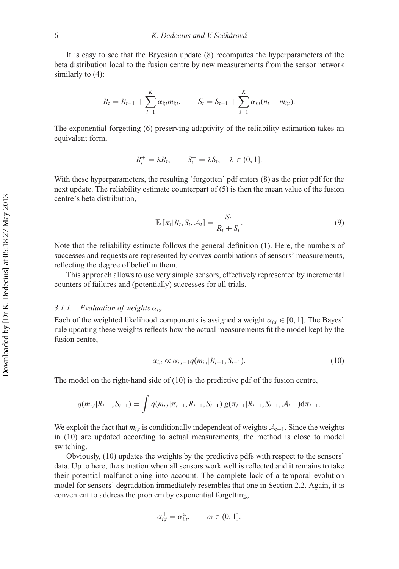It is easy to see that the Bayesian update (8) recomputes the hyperparameters of the beta distribution local to the fusion centre by new measurements from the sensor network similarly to  $(4)$ :

$$
R_t = R_{t-1} + \sum_{i=1}^K \alpha_{i;t} m_{i;t}, \qquad S_t = S_{t-1} + \sum_{i=1}^K \alpha_{i;t} (n_t - m_{i;t}).
$$

The exponential forgetting (6) preserving adaptivity of the reliability estimation takes an equivalent form,

$$
R_t^+ = \lambda R_t, \qquad S_t^+ = \lambda S_t, \quad \lambda \in (0, 1].
$$

With these hyperparameters, the resulting 'forgotten' pdf enters (8) as the prior pdf for the next update. The reliability estimate counterpart of  $(5)$  is then the mean value of the fusion centre's beta distribution,

$$
\mathbb{E}\left[\pi_t|R_t, S_t, \mathcal{A}_t\right] = \frac{S_t}{R_t + S_t}.\tag{9}
$$

Note that the reliability estimate follows the general definition (1). Here, the numbers of successes and requests are represented by convex combinations of sensors' measurements, reflecting the degree of belief in them.

This approach allows to use very simple sensors, effectively represented by incremental counters of failures and (potentially) successes for all trials.

## *3.1.1. Evaluation of weights* α*i*;*<sup>t</sup>*

Each of the weighted likelihood components is assigned a weight  $\alpha_{i,t} \in [0,1]$ . The Bayes' rule updating these weights reflects how the actual measurements fit the model kept by the fusion centre,

$$
\alpha_{i;t} \propto \alpha_{i;t-1} q(m_{i,t} | R_{t-1}, S_{t-1}). \tag{10}
$$

The model on the right-hand side of (10) is the predictive pdf of the fusion centre,

$$
q(m_{i,t}|R_{t-1},S_{t-1})=\int q(m_{i,t}|\pi_{t-1},R_{t-1},S_{t-1}) g(\pi_{t-1}|R_{t-1},S_{t-1},\mathcal{A}_{t-1})d\pi_{t-1}.
$$

We exploit the fact that *mi*,*<sup>t</sup>* is conditionally independent of weights *At*<sup>−</sup>1. Since the weights in (10) are updated according to actual measurements, the method is close to model switching.

Obviously, (10) updates the weights by the predictive pdfs with respect to the sensors' data. Up to here, the situation when all sensors work well is reflected and it remains to take their potential malfunctioning into account. The complete lack of a temporal evolution model for sensors' degradation immediately resembles that one in Section 2.2. Again, it is convenient to address the problem by exponential forgetting,

$$
\alpha_{i;t}^+ = \alpha_{i;t}^\omega, \qquad \omega \in (0,1].
$$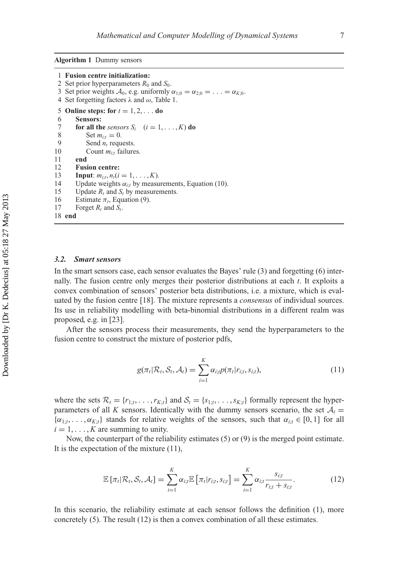**Algorithm 1** Dummy sensors

```
1 Fusion centre initialization:
 2 Set prior hyperparameters R_0 and S_0.
 3 Set prior weights \mathcal{A}_0, e.g. uniformly \alpha_{1:0} = \alpha_{2:0} = \ldots = \alpha_{K:0}.
 4 Set forgetting factors \lambda and \omega, Table 1.
 5 Online steps: for t = 1, 2, ... do
 6 Sensors:
 7 for all the sensors S_i (i = 1, ..., K) do<br>8 Set m_{ii} = 0.
 8 Set m_{i;t} = 0.<br>9 Send n, regul
9 Send n_t requests.<br>10 Count m_{i:t} failure
              Count m_{i}; failures.
11 end
12 Fusion centre:
13 Input: m_{i:t}, n_t (i = 1, ..., K).
14 Update weights \alpha_{i,t} by measurements, Equation (10).<br>15 Update R, and S, by measurements.
         Update R_t and S_t by measurements.
16 Estimate \pi_t, Equation (9).<br>17 Forget R_t and S_t.
         Forget R_t and S_t.
18 end
```
#### *3.2. Smart sensors*

In the smart sensors case, each sensor evaluates the Bayes' rule (3) and forgetting (6) internally. The fusion centre only merges their posterior distributions at each *t*. It exploits a convex combination of sensors' posterior beta distributions, i.e. a mixture, which is evaluated by the fusion centre [18]. The mixture represents a *consensus* of individual sources. Its use in reliability modelling with beta-binomial distributions in a different realm was proposed, e.g. in [23].

After the sensors process their measurements, they send the hyperparameters to the fusion centre to construct the mixture of posterior pdfs,

$$
g(\pi_t | \mathcal{R}_t, \mathcal{S}_t, \mathcal{A}_t) = \sum_{i=1}^K \alpha_{i;t} p(\pi_t | r_{i;t}, s_{i;t}),
$$
\n(11)

where the sets  $\mathcal{R}_t = \{r_{1;t}, \ldots, r_{K;t}\}\$  and  $\mathcal{S}_t = \{s_{1;t}, \ldots, s_{K;t}\}\$  formally represent the hyperparameters of all *K* sensors. Identically with the dummy sensors scenario, the set  $A_t$  =  $\{\alpha_{1;t}, \ldots, \alpha_{K;t}\}\$  stands for relative weights of the sensors, such that  $\alpha_{i;t} \in [0,1]$  for all  $i = 1, \ldots, K$  are summing to unity.

Now, the counterpart of the reliability estimates (5) or (9) is the merged point estimate. It is the expectation of the mixture (11),

$$
\mathbb{E}\left[\pi_t|\mathcal{R}_t,\mathcal{S}_t,\mathcal{A}_t\right] = \sum_{i=1}^K \alpha_{i;t} \mathbb{E}\left[\pi_t|r_{i;t},s_{i;t}\right] = \sum_{i=1}^K \alpha_{i;t} \frac{s_{i;t}}{r_{i;t} + s_{i;t}}.\tag{12}
$$

In this scenario, the reliability estimate at each sensor follows the definition (1), more concretely (5). The result (12) is then a convex combination of all these estimates.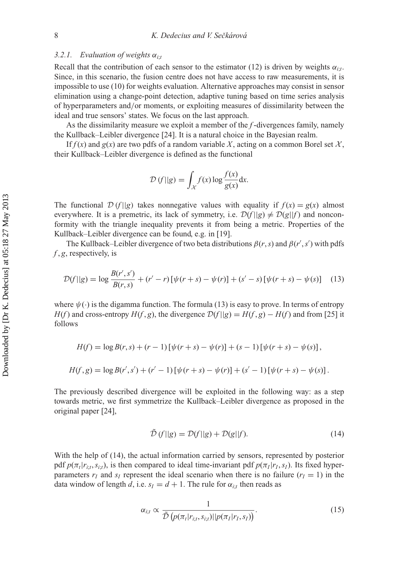## *3.2.1.* Evaluation of weights  $\alpha_{i}$ ;

Recall that the contribution of each sensor to the estimator (12) is driven by weights  $\alpha_{it}$ . Since, in this scenario, the fusion centre does not have access to raw measurements, it is impossible to use (10) for weights evaluation. Alternative approaches may consist in sensor elimination using a change-point detection, adaptive tuning based on time series analysis of hyperparameters and/or moments, or exploiting measures of dissimilarity between the ideal and true sensors' states. We focus on the last approach.

As the dissimilarity measure we exploit a member of the *f* -divergences family, namely the Kullback–Leibler divergence [24]. It is a natural choice in the Bayesian realm.

If  $f(x)$  and  $g(x)$  are two pdfs of a random variable X, acting on a common Borel set  $\mathcal{X}$ , their Kullback–Leibler divergence is defined as the functional

$$
\mathcal{D}(f||g) = \int_{\mathcal{X}} f(x) \log \frac{f(x)}{g(x)} dx.
$$

The functional  $\mathcal{D}(f||g)$  takes nonnegative values with equality if  $f(x) = g(x)$  almost everywhere. It is a premetric, its lack of symmetry, i.e.  $\mathcal{D}(f||g) \neq \mathcal{D}(g||f)$  and nonconformity with the triangle inequality prevents it from being a metric. Properties of the Kullback–Leibler divergence can be found, e.g. in [19].

The Kullback–Leibler divergence of two beta distributions  $\beta(r, s)$  and  $\beta(r', s')$  with pdfs *f* , *g*, respectively, is

$$
\mathcal{D}(f||g) = \log \frac{B(r', s')}{B(r, s)} + (r' - r)[\psi(r + s) - \psi(r)] + (s' - s)[\psi(r + s) - \psi(s)] \tag{13}
$$

where  $\psi(\cdot)$  is the digamma function. The formula (13) is easy to prove. In terms of entropy *H*(*f*) and cross-entropy *H*(*f*, *g*), the divergence  $D(f||g) = H(f, g) - H(f)$  and from [25] it follows

$$
H(f) = \log B(r, s) + (r - 1) [\psi(r + s) - \psi(r)] + (s - 1) [\psi(r + s) - \psi(s)],
$$
  

$$
H(f, g) = \log B(r', s') + (r' - 1) [\psi(r + s) - \psi(r)] + (s' - 1) [\psi(r + s) - \psi(s)].
$$

The previously described divergence will be exploited in the following way: as a step towards metric, we first symmetrize the Kullback–Leibler divergence as proposed in the original paper [24],

$$
\tilde{\mathcal{D}}(f||g) = \mathcal{D}(f||g) + \mathcal{D}(g||f). \tag{14}
$$

With the help of (14), the actual information carried by sensors, represented by posterior pdf  $p(\pi_t | r_{i,t}, s_{i,t})$ , is then compared to ideal time-invariant pdf  $p(\pi_t | r_t, s_t)$ . Its fixed hyperparameters  $r_I$  and  $s_I$  represent the ideal scenario when there is no failure  $(r_I = 1)$  in the data window of length *d*, i.e.  $s_I = d + 1$ . The rule for  $\alpha_{i:t}$  then reads as

$$
\alpha_{i;t} \propto \frac{1}{\tilde{\mathcal{D}}\left(p(\pi_t|r_{i;t}, s_{i;t})||p(\pi_I|r_I, s_I)\right)}.\tag{15}
$$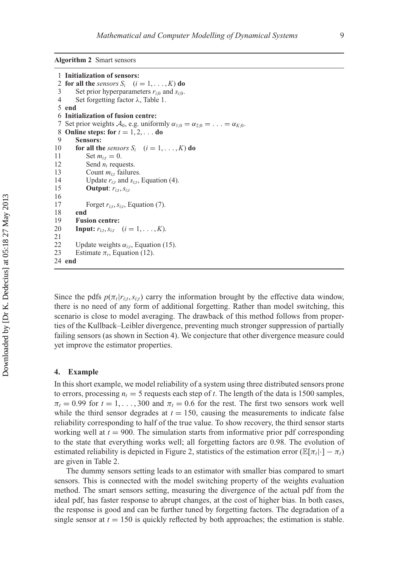**Algorithm 2** Smart sensors

```
1 Initialization of sensors:
 2 for all the sensors S_i (i = 1, \ldots, K) do
 3 Set prior hyperparameters r_{i:0} and s_{i:0}.
 4 Set forgetting factor λ, Table 1.
 5 end
 6 Initialization of fusion centre:
 7 Set prior weights A_0, e.g. uniformly \alpha_{1;0} = \alpha_{2;0} = \ldots = \alpha_{K;0}.
 8 Online steps: for t = 1, 2, ... do
 9 Sensors:
10 for all the sensors S_i (i = 1, ..., K) do<br>11 Set m_{ii} = 0.
             Set m_{i:t} = 0.12 Send n_t requests.<br>13 Count m_{i,t} failure
             Count m_{i'j} failures.
14 Update r_{i,t} and s_{i,t}, Equation (4).
             15 Output: ri;t,si;t
16
17 Forget ri;t,si;t, Equation (7).
        18 end
19 Fusion centre:
20 Input: r_{it}, s_{it} (i = 1, ..., K).
21
22 Update weights \alpha_{i;t}, Equation (15).<br>23 Estimate \pi_i, Equation (12).
        Estimate \pi_t, Equation (12).
24 end
```
Since the pdfs  $p(\pi_t | r_{i,t}, s_{i,t})$  carry the information brought by the effective data window, there is no need of any form of additional forgetting. Rather than model switching, this scenario is close to model averaging. The drawback of this method follows from properties of the Kullback–Leibler divergence, preventing much stronger suppression of partially failing sensors (as shown in Section 4). We conjecture that other divergence measure could yet improve the estimator properties.

#### **4. Example**

In this short example, we model reliability of a system using three distributed sensors prone to errors, processing  $n_t = 5$  requests each step of *t*. The length of the data is 1500 samples,  $\pi_t = 0.99$  for  $t = 1, \ldots, 300$  and  $\pi_t = 0.6$  for the rest. The first two sensors work well while the third sensor degrades at  $t = 150$ , causing the measurements to indicate false reliability corresponding to half of the true value. To show recovery, the third sensor starts working well at  $t = 900$ . The simulation starts from informative prior pdf corresponding to the state that everything works well; all forgetting factors are 0.98. The evolution of estimated reliability is depicted in Figure 2, statistics of the estimation error ( $\mathbb{E}[\pi_t|\cdot] - \pi_t$ ) are given in Table 2.

The dummy sensors setting leads to an estimator with smaller bias compared to smart sensors. This is connected with the model switching property of the weights evaluation method. The smart sensors setting, measuring the divergence of the actual pdf from the ideal pdf, has faster response to abrupt changes, at the cost of higher bias. In both cases, the response is good and can be further tuned by forgetting factors. The degradation of a single sensor at  $t = 150$  is quickly reflected by both approaches; the estimation is stable.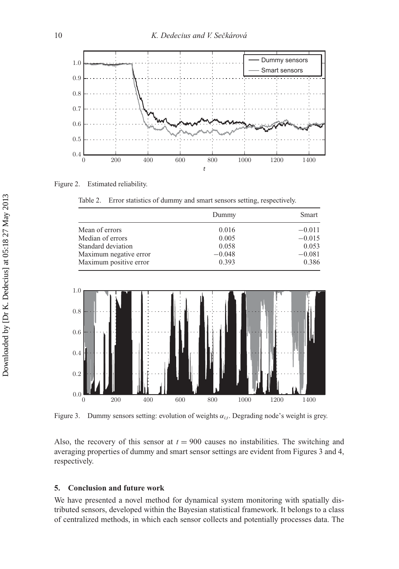

Figure 2. Estimated reliability.

Table 2. Error statistics of dummy and smart sensors setting, respectively.

|                        | Dummy    | Smart    |
|------------------------|----------|----------|
| Mean of errors         | 0.016    | $-0.011$ |
| Median of errors       | 0.005    | $-0.015$ |
| Standard deviation     | 0.058    | 0.053    |
| Maximum negative error | $-0.048$ | $-0.081$ |
| Maximum positive error | 0.393    | 0.386    |



Figure 3. Dummy sensors setting: evolution of weights  $\alpha_{i,t}$ . Degrading node's weight is grey.

Also, the recovery of this sensor at  $t = 900$  causes no instabilities. The switching and averaging properties of dummy and smart sensor settings are evident from Figures 3 and 4, respectively.

## **5. Conclusion and future work**

We have presented a novel method for dynamical system monitoring with spatially distributed sensors, developed within the Bayesian statistical framework. It belongs to a class of centralized methods, in which each sensor collects and potentially processes data. The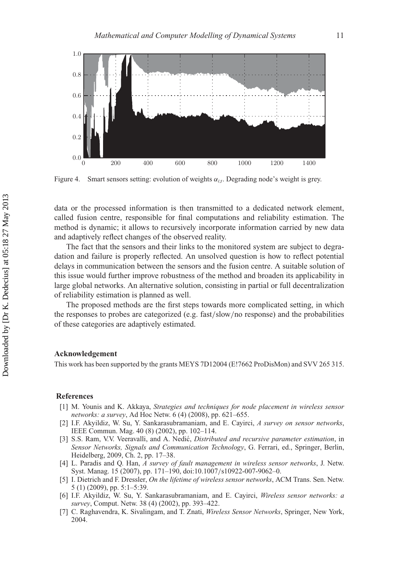

Figure 4. Smart sensors setting: evolution of weights  $\alpha_i$ . Degrading node's weight is grey.

data or the processed information is then transmitted to a dedicated network element, called fusion centre, responsible for final computations and reliability estimation. The method is dynamic; it allows to recursively incorporate information carried by new data and adaptively reflect changes of the observed reality.

The fact that the sensors and their links to the monitored system are subject to degradation and failure is properly reflected. An unsolved question is how to reflect potential delays in communication between the sensors and the fusion centre. A suitable solution of this issue would further improve robustness of the method and broaden its applicability in large global networks. An alternative solution, consisting in partial or full decentralization of reliability estimation is planned as well.

The proposed methods are the first steps towards more complicated setting, in which the responses to probes are categorized (e.g. fast/slow/no response) and the probabilities of these categories are adaptively estimated.

#### **Acknowledgement**

This work has been supported by the grants MEYS 7D12004 (E!7662 ProDisMon) and SVV 265 315.

#### **References**

- [1] M. Younis and K. Akkaya, *Strategies and techniques for node placement in wireless sensor networks: a survey*, Ad Hoc Netw. 6 (4) (2008), pp. 621–655.
- [2] I.F. Akyildiz, W. Su, Y. Sankarasubramaniam, and E. Cayirci, *A survey on sensor networks*, IEEE Commun. Mag. 40 (8) (2002), pp. 102–114.
- [3] S.S. Ram, V.V. Veeravalli, and A. Nedic,´ *Distributed and recursive parameter estimation*, in *Sensor Networks, Signals and Communication Technology*, G. Ferrari, ed., Springer, Berlin, Heidelberg, 2009, Ch. 2, pp. 17–38.
- [4] L. Paradis and Q. Han, *A survey of fault management in wireless sensor networks*, J. Netw. Syst. Manag. 15 (2007), pp. 171–190, doi:10.1007/s10922-007-9062–0.
- [5] I. Dietrich and F. Dressler, *On the lifetime of wireless sensor networks*, ACM Trans. Sen. Netw. 5 (1) (2009), pp. 5:1–5:39.
- [6] I.F. Akyildiz, W. Su, Y. Sankarasubramaniam, and E. Cayirci, *Wireless sensor networks: a survey*, Comput. Netw. 38 (4) (2002), pp. 393–422.
- [7] C. Raghavendra, K. Sivalingam, and T. Znati, *Wireless Sensor Networks*, Springer, New York, 2004.